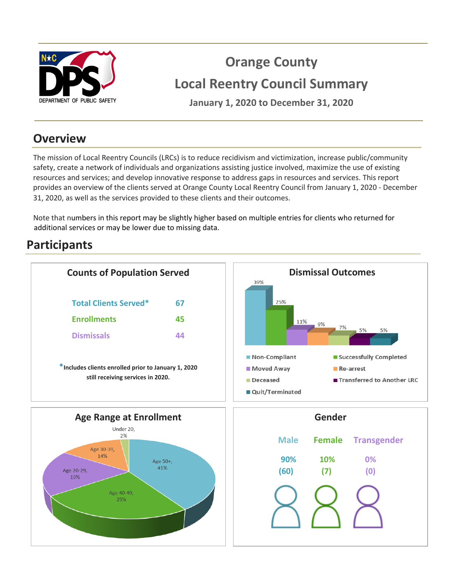

# **Orange County Local Reentry Council Summary**

DEPARTMENT OF PUBLIC SAFETY **January 1, 2020 to December 31, 2020** 

## **Overview**

The mission of Local Reentry Councils (LRCs) is to reduce recidivism and victimization, increase public/community safety, create a network of individuals and organizations assisting justice involved, maximize the use of existing resources and services; and develop innovative response to address gaps in resources and services. This report provides an overview of the clients served at Orange County Local Reentry Council from January 1, 2020 - December 31, 2020, as well as the services provided to these clients and their outcomes.

Note that numbers in this report may be slightly higher based on multiple entries for clients who returned for additional services or may be lower due to missing data.

# **Participants**

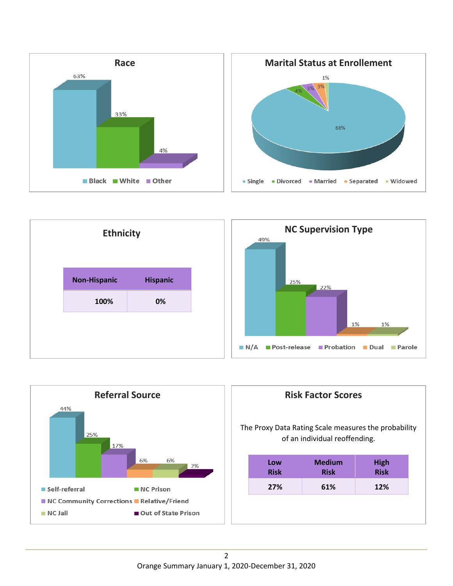









| <b>Risk Factor Scores</b> |                                                                                                                              |             |             |  |
|---------------------------|------------------------------------------------------------------------------------------------------------------------------|-------------|-------------|--|
|                           | The Proxy Data Rating Scale measures the probability<br>of an individual reoffending.<br><b>Medium</b><br>Low<br><b>High</b> |             |             |  |
|                           | <b>Risk</b>                                                                                                                  | <b>Risk</b> | <b>Risk</b> |  |
|                           |                                                                                                                              |             |             |  |